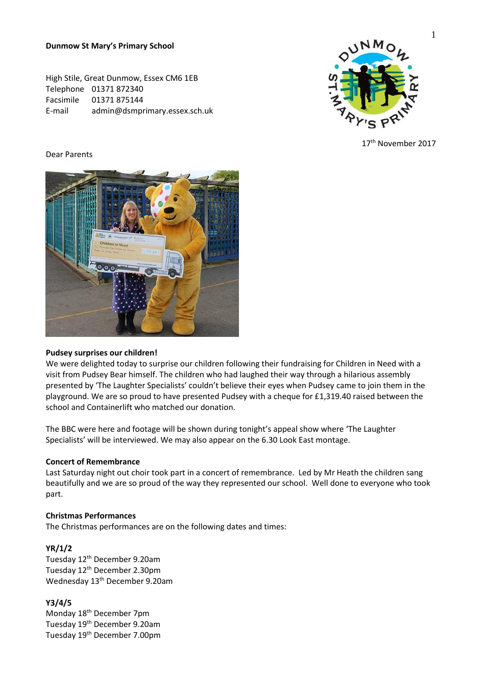**Dunmow St Mary's Primary School**

High Stile, Great Dunmow, Essex CM6 1EB Telephone 01371 872340 Facsimile 01371 875144 E-mail admin@dsmprimary.essex.sch.uk



17th November 2017

### Dear Parents



## **Pudsey surprises our children!**

We were delighted today to surprise our children following their fundraising for Children in Need with a visit from Pudsey Bear himself. The children who had laughed their way through a hilarious assembly presented by 'The Laughter Specialists' couldn't believe their eyes when Pudsey came to join them in the playground. We are so proud to have presented Pudsey with a cheque for £1,319.40 raised between the school and Containerlift who matched our donation.

The BBC were here and footage will be shown during tonight's appeal show where 'The Laughter Specialists' will be interviewed. We may also appear on the 6.30 Look East montage.

### **Concert of Remembrance**

Last Saturday night out choir took part in a concert of remembrance. Led by Mr Heath the children sang beautifully and we are so proud of the way they represented our school. Well done to everyone who took part.

### **Christmas Performances**

The Christmas performances are on the following dates and times:

### **YR/1/2**

Tuesday 12th December 9.20am Tuesday 12<sup>th</sup> December 2.30pm Wednesday 13th December 9.20am

**Y3/4/5**

Monday 18<sup>th</sup> December 7pm Tuesday 19<sup>th</sup> December 9.20am Tuesday 19<sup>th</sup> December 7.00pm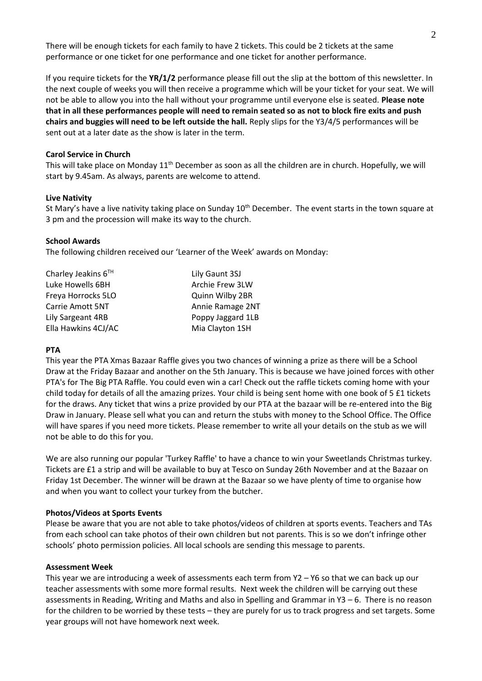There will be enough tickets for each family to have 2 tickets. This could be 2 tickets at the same performance or one ticket for one performance and one ticket for another performance.

If you require tickets for the **YR/1/2** performance please fill out the slip at the bottom of this newsletter. In the next couple of weeks you will then receive a programme which will be your ticket for your seat. We will not be able to allow you into the hall without your programme until everyone else is seated. **Please note that in all these performances people will need to remain seated so as not to block fire exits and push chairs and buggies will need to be left outside the hall.** Reply slips for the Y3/4/5 performances will be sent out at a later date as the show is later in the term.

### **Carol Service in Church**

This will take place on Monday 11<sup>th</sup> December as soon as all the children are in church. Hopefully, we will start by 9.45am. As always, parents are welcome to attend.

## **Live Nativity**

St Mary's have a live nativity taking place on Sunday 10<sup>th</sup> December. The event starts in the town square at 3 pm and the procession will make its way to the church.

## **School Awards**

The following children received our 'Learner of the Week' awards on Monday:

| Charley Jeakins $6TH$   | Lily Gaunt 3SJ    |
|-------------------------|-------------------|
| Luke Howells 6BH        | Archie Frew 3LW   |
| Freya Horrocks 5LO      | Quinn Wilby 2BR   |
| <b>Carrie Amott 5NT</b> | Annie Ramage 2NT  |
| Lily Sargeant 4RB       | Poppy Jaggard 1LB |
| Ella Hawkins 4CJ/AC     | Mia Clayton 1SH   |

## **PTA**

This year the PTA Xmas Bazaar Raffle gives you two chances of winning a prize as there will be a School Draw at the Friday Bazaar and another on the 5th January. This is because we have joined forces with other PTA's for The Big PTA Raffle. You could even win a car! Check out the raffle tickets coming home with your child today for details of all the amazing prizes. Your child is being sent home with one book of 5 £1 tickets for the draws. Any ticket that wins a prize provided by our PTA at the bazaar will be re-entered into the Big Draw in January. Please sell what you can and return the stubs with money to the School Office. The Office will have spares if you need more tickets. Please remember to write all your details on the stub as we will not be able to do this for you.

We are also running our popular 'Turkey Raffle' to have a chance to win your Sweetlands Christmas turkey. Tickets are £1 a strip and will be available to buy at Tesco on Sunday 26th November and at the Bazaar on Friday 1st December. The winner will be drawn at the Bazaar so we have plenty of time to organise how and when you want to collect your turkey from the butcher.

### **Photos/Videos at Sports Events**

Please be aware that you are not able to take photos/videos of children at sports events. Teachers and TAs from each school can take photos of their own children but not parents. This is so we don't infringe other schools' photo permission policies. All local schools are sending this message to parents.

### **Assessment Week**

This year we are introducing a week of assessments each term from Y2 – Y6 so that we can back up our teacher assessments with some more formal results. Next week the children will be carrying out these assessments in Reading, Writing and Maths and also in Spelling and Grammar in Y3 – 6. There is no reason for the children to be worried by these tests – they are purely for us to track progress and set targets. Some year groups will not have homework next week.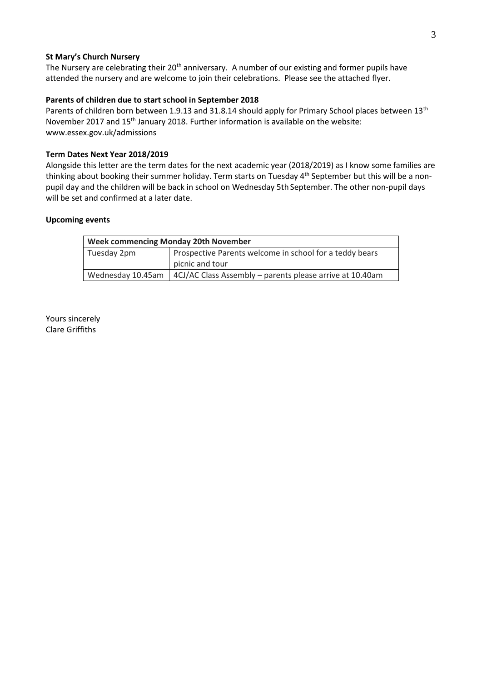## **St Mary's Church Nursery**

The Nursery are celebrating their 20<sup>th</sup> anniversary. A number of our existing and former pupils have attended the nursery and are welcome to join their celebrations. Please see the attached flyer.

### **Parents of children due to start school in September 2018**

Parents of children born between 1.9.13 and 31.8.14 should apply for Primary School places between 13<sup>th</sup> November 2017 and 15<sup>th</sup> January 2018. Further information is available on the website: www.essex.gov.uk/admissions

## **Term Dates Next Year 2018/2019**

Alongside this letter are the term dates for the next academic year (2018/2019) as I know some families are thinking about booking their summer holiday. Term starts on Tuesday 4<sup>th</sup> September but this will be a nonpupil day and the children will be back in school on Wednesday 5th September. The other non-pupil days will be set and confirmed at a later date.

### **Upcoming events**

| <b>Week commencing Monday 20th November</b> |                                                          |  |
|---------------------------------------------|----------------------------------------------------------|--|
| Tuesday 2pm                                 | Prospective Parents welcome in school for a teddy bears  |  |
|                                             | picnic and tour                                          |  |
| Wednesday 10.45am                           | 4CJ/AC Class Assembly – parents please arrive at 10.40am |  |

Yours sincerely Clare Griffiths